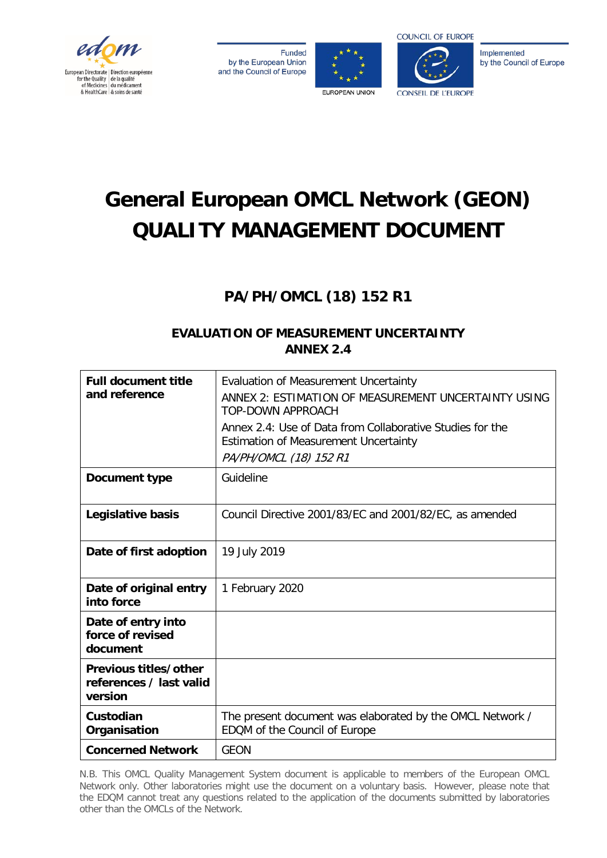

**Funded** by the European Union and the Council of Europe





Implemented by the Council of Europe

# **General European OMCL Network (GEON) QUALITY MANAGEMENT DOCUMENT**

# **PA/PH/OMCL (18) 152 R1**

# **EVALUATION OF MEASUREMENT UNCERTAINTY ANNEX 2.4**

| <b>Full document title</b><br>and reference                 | <b>Evaluation of Measurement Uncertainty</b><br>ANNEX 2: ESTIMATION OF MEASUREMENT UNCERTAINTY USING<br>TOP-DOWN APPROACH<br>Annex 2.4: Use of Data from Collaborative Studies for the<br><b>Estimation of Measurement Uncertainty</b><br>PA/PH/OMCL (18) 152 R1 |
|-------------------------------------------------------------|------------------------------------------------------------------------------------------------------------------------------------------------------------------------------------------------------------------------------------------------------------------|
| Document type                                               | Guideline                                                                                                                                                                                                                                                        |
| Legislative basis                                           | Council Directive 2001/83/EC and 2001/82/EC, as amended                                                                                                                                                                                                          |
| Date of first adoption                                      | 19 July 2019                                                                                                                                                                                                                                                     |
| Date of original entry<br>into force                        | 1 February 2020                                                                                                                                                                                                                                                  |
| Date of entry into<br>force of revised<br>document          |                                                                                                                                                                                                                                                                  |
| Previous titles/other<br>references / last valid<br>version |                                                                                                                                                                                                                                                                  |
| Custodian<br>Organisation                                   | The present document was elaborated by the OMCL Network /<br>EDQM of the Council of Europe                                                                                                                                                                       |
| <b>Concerned Network</b>                                    | <b>GEON</b>                                                                                                                                                                                                                                                      |

N.B. This OMCL Quality Management System document is applicable to members of the European OMCL Network only. Other laboratories might use the document on a voluntary basis. However, please note that the EDQM cannot treat any questions related to the application of the documents submitted by laboratories other than the OMCLs of the Network.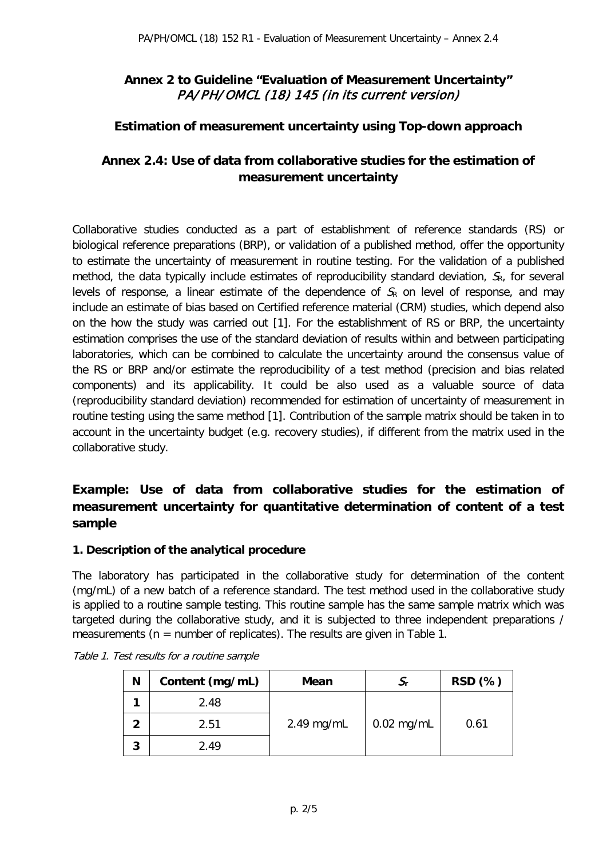# **Annex 2 to Guideline "Evaluation of Measurement Uncertainty"**  PA/PH/OMCL (18) 145 (in its current version)

#### **Estimation of measurement uncertainty using Top-down approach**

# **Annex 2.4: Use of data from collaborative studies for the estimation of measurement uncertainty**

Collaborative studies conducted as a part of establishment of reference standards (RS) or biological reference preparations (BRP), or validation of a published method, offer the opportunity to estimate the uncertainty of measurement in routine testing. For the validation of a published method, the data typically include estimates of reproducibility standard deviation,  $S_R$ , for several levels of response, a linear estimate of the dependence of  $S_R$  on level of response, and may include an estimate of bias based on Certified reference material (CRM) studies, which depend also on the how the study was carried out [1]. For the establishment of RS or BRP, the uncertainty estimation comprises the use of the standard deviation of results within and between participating laboratories, which can be combined to calculate the uncertainty around the consensus value of the RS or BRP and/or estimate the reproducibility of a test method (precision and bias related components) and its applicability. It could be also used as a valuable source of data (reproducibility standard deviation) recommended for estimation of uncertainty of measurement in routine testing using the same method [1]. Contribution of the sample matrix should be taken in to account in the uncertainty budget (e.g. recovery studies), if different from the matrix used in the collaborative study.

# **Example: Use of data from collaborative studies for the estimation of measurement uncertainty for quantitative determination of content of a test sample**

#### **1. Description of the analytical procedure**

The laboratory has participated in the collaborative study for determination of the content (mg/mL) of a new batch of a reference standard. The test method used in the collaborative study is applied to a routine sample testing. This routine sample has the same sample matrix which was targeted during the collaborative study, and it is subjected to three independent preparations / measurements ( $n =$  number of replicates). The results are given in Table 1.

| N | Content (mg/mL) | Mean         |              | RSD (%) |
|---|-----------------|--------------|--------------|---------|
|   | 2.48            |              |              |         |
| 2 | 2.51            | $2.49$ mg/mL | $0.02$ mg/mL | 0.61    |
| 3 | 2.49            |              |              |         |

| Table 1. Test results for a routine sample |  |  |  |  |  |
|--------------------------------------------|--|--|--|--|--|
|--------------------------------------------|--|--|--|--|--|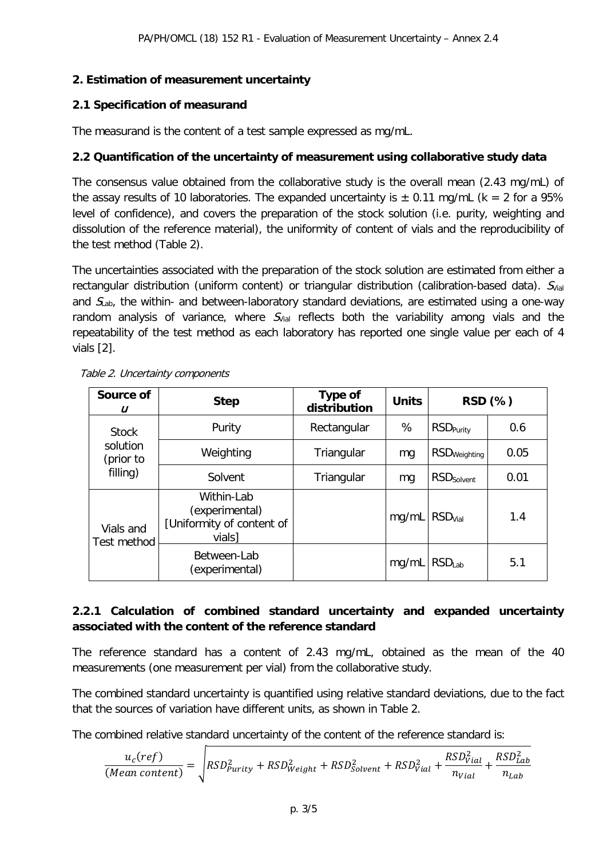#### **2. Estimation of measurement uncertainty**

#### **2.1 Specification of measurand**

The measurand is the content of a test sample expressed as mg/mL.

### **2.2 Quantification of the uncertainty of measurement using collaborative study data**

The consensus value obtained from the collaborative study is the overall mean (2.43 mg/mL) of the assay results of 10 laboratories. The expanded uncertainty is  $\pm$  0.11 mg/mL (k = 2 for a 95% level of confidence), and covers the preparation of the stock solution (i.e. purity, weighting and dissolution of the reference material), the uniformity of content of vials and the reproducibility of the test method (Table 2).

The uncertainties associated with the preparation of the stock solution are estimated from either a rectangular distribution (uniform content) or triangular distribution (calibration-based data).  $S_{\text{val}}$ and  $S<sub>lab</sub>$ , the within- and between-laboratory standard deviations, are estimated using a one-way random analysis of variance, where  $S_{\text{Vial}}$  reflects both the variability among vials and the repeatability of the test method as each laboratory has reported one single value per each of 4 vials [2].

| Source of<br>U                                    | <b>Step</b>                                                         | <b>Type of</b><br>distribution | <b>Units</b> |                              | RSD (%) |
|---------------------------------------------------|---------------------------------------------------------------------|--------------------------------|--------------|------------------------------|---------|
| <b>Stock</b><br>solution<br>(prior to<br>filling) | Purity                                                              | Rectangular                    | %            | <b>RSD</b> <sub>Purity</sub> | 0.6     |
|                                                   | Weighting                                                           | Triangular                     | mg           | RSD <sub>Weighting</sub>     | 0.05    |
|                                                   | Solvent                                                             | Triangular                     | mg           | <b>RSD</b> Solvent           | 0.01    |
| Vials and<br>Test method                          | Within-Lab<br>(experimental)<br>[Uniformity of content of<br>vials] |                                | mg/mL        | <b>RSD<sub>Vial</sub></b>    | 1.4     |
|                                                   | Between-Lab<br>(experimental)                                       |                                | mq/mL        | RSD <sub>Lab</sub>           | 5.1     |

Table 2. Uncertainty components

### **2.2.1 Calculation of combined standard uncertainty and expanded uncertainty associated with the content of the reference standard**

The reference standard has a content of 2.43 mg/mL, obtained as the mean of the 40 measurements (one measurement per vial) from the collaborative study.

The combined standard uncertainty is quantified using relative standard deviations, due to the fact that the sources of variation have different units, as shown in Table 2.

The combined relative standard uncertainty of the content of the reference standard is:

$$
\frac{u_c(ref)}{(Mean\ content)} = \sqrt{RSD_{Purity}^2 + RSD_{Weight}^2 + RSD_{Solvent}^2 + RSD_{Vial}^2 + \frac{RSD_{Vial}^2}{n_{Vial}} + \frac{RSD_{Lab}^2}{n_{Lab}}}
$$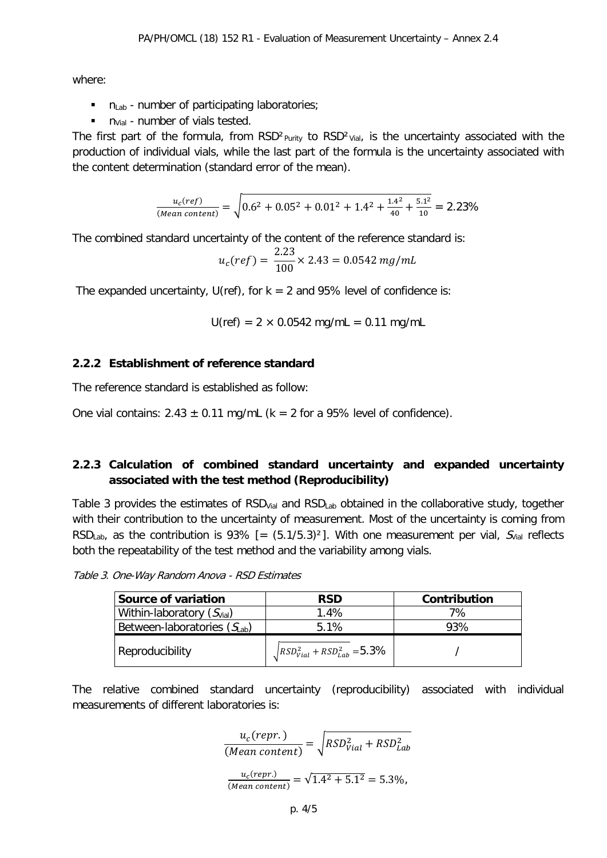where:

- $n_{Lab}$  number of participating laboratories;
- $\blacksquare$  n<sub>Vial</sub> number of vials tested.

The first part of the formula, from  $RSD<sup>2</sup>$ <sub>Purity</sub> to  $RSD<sup>2</sup>$ <sub>Vial</sub>, is the uncertainty associated with the production of individual vials, while the last part of the formula is the uncertainty associated with the content determination (standard error of the mean).

$$
\frac{u_c(ref)}{(Mean\ content)} = \sqrt{0.6^2 + 0.05^2 + 0.01^2 + 1.4^2 + \frac{1.4^2}{40} + \frac{5.1^2}{10}} = 2.23\%
$$

The combined standard uncertainty of the content of the reference standard is:

$$
u_c(ref) = \frac{2.23}{100} \times 2.43 = 0.0542 mg/mL
$$

The expanded uncertainty, U(ref), for  $k = 2$  and 95% level of confidence is:

$$
U(ref) = 2 \times 0.0542 \text{ mg/mL} = 0.11 \text{ mg/mL}
$$

#### **2.2.2 Establishment of reference standard**

The reference standard is established as follow:

One vial contains:  $2.43 \pm 0.11$  mg/mL (k = 2 for a 95% level of confidence).

#### **2.2.3 Calculation of combined standard uncertainty and expanded uncertainty associated with the test method (Reproducibility)**

Table 3 provides the estimates of  $RSD<sub>Vial</sub>$  and  $RSD<sub>Lab</sub>$  obtained in the collaborative study, together with their contribution to the uncertainty of measurement. Most of the uncertainty is coming from RSD<sub>Lab</sub>, as the contribution is 93% [=  $(5.1/5.3)^2$ ]. With one measurement per vial,  $S_{\text{Val}}$  reflects both the repeatability of the test method and the variability among vials.

Table 3. One-Way Random Anova - RSD Estimates

| Source of variation                   | <b>RSD</b>                                  | Contribution |
|---------------------------------------|---------------------------------------------|--------------|
| Within-laboratory $(S_{\text{vial}})$ | 1.4%                                        | 7%           |
| Between-laboratories $(S_{lab})$      | 5.1%                                        | 93%          |
| Reproducibility                       | $\sqrt{RSD_{Vial}^2 + RSD_{Lab}^2} = 5.3\%$ |              |

The relative combined standard uncertainty (reproducibility) associated with individual measurements of different laboratories is:

$$
\frac{u_c(repr.)}{(Mean content)} = \sqrt{RSD_{Vial}^2 + RSD_{Lab}^2}
$$

$$
\frac{u_c(repr.)}{(Mean content)} = \sqrt{1.4^2 + 5.1^2} = 5.3\%,
$$